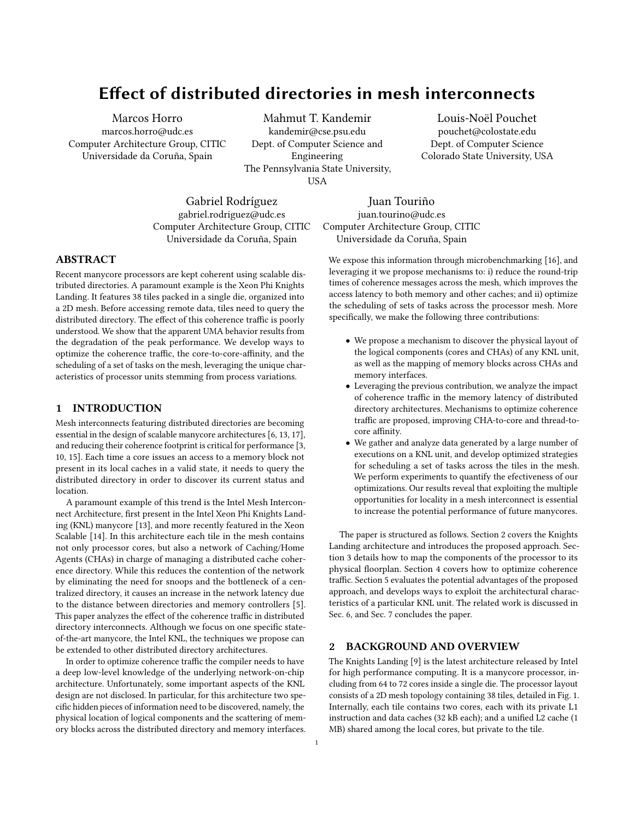Marcos Horro marcos.horro@udc.es Computer Architecture Group, CITIC Universidade da Coruña, Spain

Mahmut T. Kandemir kandemir@cse.psu.edu Dept. of Computer Science and Engineering The Pennsylvania State University, **USA** 

Louis-Noël Pouchet pouchet@colostate.edu Dept. of Computer Science Colorado State University, USA

Gabriel Rodríguez gabriel.rodriguez@udc.es Computer Architecture Group, CITIC Universidade da Coruña, Spain

Juan Touriño juan.tourino@udc.es Computer Architecture Group, CITIC Universidade da Coruña, Spain

We expose this information through microbenchmarking [\[16\]](#page-6-8), and leveraging it we propose mechanisms to: i) reduce the round-trip times of coherence messages across the mesh, which improves the access latency to both memory and other caches; and ii) optimize the scheduling of sets of tasks across the processor mesh. More specifically, we make the following three contributions:

- We propose a mechanism to discover the physical layout of the logical components (cores and CHAs) of any KNL unit, as well as the mapping of memory blocks across CHAs and memory interfaces.
- Leveraging the previous contribution, we analyze the impact of coherence traffic in the memory latency of distributed directory architectures. Mechanisms to optimize coherence traffic are proposed, improving CHA-to-core and thread-tocore affinity.
- We gather and analyze data generated by a large number of executions on a KNL unit, and develop optimized strategies for scheduling a set of tasks across the tiles in the mesh. We perform experiments to quantify the efectiveness of our optimizations. Our results reveal that exploiting the multiple opportunities for locality in a mesh interconnect is essential to increase the potential performance of future manycores.

The paper is structured as follows. Section [2](#page-0-0) covers the Knights Landing architecture and introduces the proposed approach. Section [3](#page-2-0) details how to map the components of the processor to its physical floorplan. Section [4](#page-2-1) covers how to optimize coherence traffic. Section [5](#page-3-0) evaluates the potential advantages of the proposed approach, and develops ways to exploit the architectural characteristics of a particular KNL unit. The related work is discussed in Sec. [6,](#page-5-0) and Sec. [7](#page-5-1) concludes the paper.

# <span id="page-0-0"></span>2 BACKGROUND AND OVERVIEW

The Knights Landing [\[9\]](#page-6-9) is the latest architecture released by Intel for high performance computing. It is a manycore processor, including from 64 to 72 cores inside a single die. The processor layout consists of a 2D mesh topology containing 38 tiles, detailed in Fig. [1.](#page-1-0) Internally, each tile contains two cores, each with its private L1 instruction and data caches (32 kB each); and a unified L2 cache (1 MB) shared among the local cores, but private to the tile.

#### ABSTRACT

Recent manycore processors are kept coherent using scalable distributed directories. A paramount example is the Xeon Phi Knights Landing. It features 38 tiles packed in a single die, organized into a 2D mesh. Before accessing remote data, tiles need to query the distributed directory. The effect of this coherence traffic is poorly understood. We show that the apparent UMA behavior results from the degradation of the peak performance. We develop ways to optimize the coherence traffic, the core-to-core-affinity, and the scheduling of a set of tasks on the mesh, leveraging the unique characteristics of processor units stemming from process variations.

# 1 INTRODUCTION

Mesh interconnects featuring distributed directories are becoming essential in the design of scalable manycore architectures [\[6,](#page-6-0) [13,](#page-6-1) [17\]](#page-6-2), and reducing their coherence footprint is critical for performance [\[3,](#page-6-3) [10,](#page-6-4) [15\]](#page-6-5). Each time a core issues an access to a memory block not present in its local caches in a valid state, it needs to query the distributed directory in order to discover its current status and location.

A paramount example of this trend is the Intel Mesh Interconnect Architecture, first present in the Intel Xeon Phi Knights Landing (KNL) manycore [\[13\]](#page-6-1), and more recently featured in the Xeon Scalable [\[14\]](#page-6-6). In this architecture each tile in the mesh contains not only processor cores, but also a network of Caching/Home Agents (CHAs) in charge of managing a distributed cache coherence directory. While this reduces the contention of the network by eliminating the need for snoops and the bottleneck of a centralized directory, it causes an increase in the network latency due to the distance between directories and memory controllers [\[5\]](#page-6-7). This paper analyzes the effect of the coherence traffic in distributed directory interconnects. Although we focus on one specific stateof-the-art manycore, the Intel KNL, the techniques we propose can be extended to other distributed directory architectures.

In order to optimize coherence traffic the compiler needs to have a deep low-level knowledge of the underlying network-on-chip architecture. Unfortunately, some important aspects of the KNL design are not disclosed. In particular, for this architecture two specific hidden pieces of information need to be discovered, namely, the physical location of logical components and the scattering of memory blocks across the distributed directory and memory interfaces.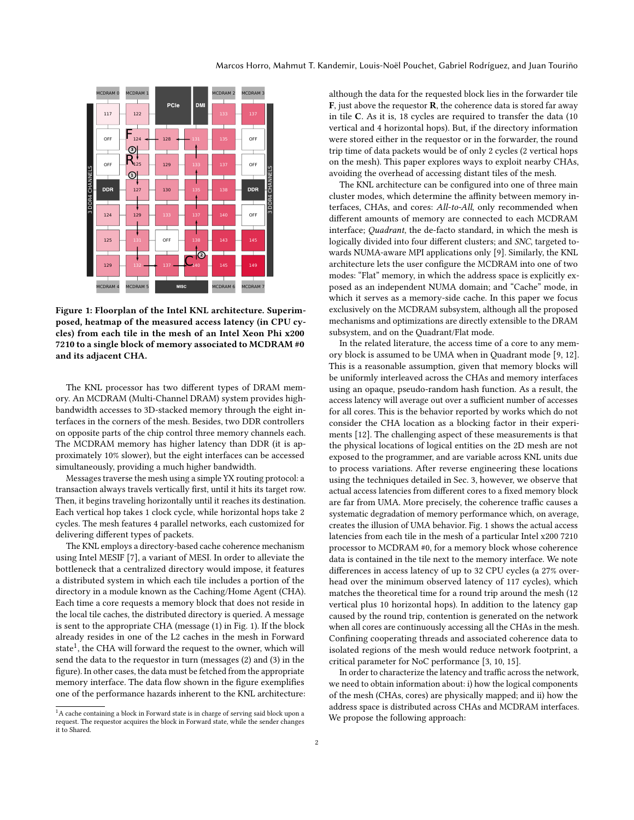<span id="page-1-0"></span>

Figure 1: Floorplan of the Intel KNL architecture. Superimposed, heatmap of the measured access latency (in CPU cycles) from each tile in the mesh of an Intel Xeon Phi x200 7210 to a single block of memory associated to MCDRAM #0 and its adjacent CHA.

The KNL processor has two different types of DRAM memory. An MCDRAM (Multi-Channel DRAM) system provides highbandwidth accesses to 3D-stacked memory through the eight interfaces in the corners of the mesh. Besides, two DDR controllers on opposite parts of the chip control three memory channels each. The MCDRAM memory has higher latency than DDR (it is approximately 10% slower), but the eight interfaces can be accessed simultaneously, providing a much higher bandwidth.

Messages traverse the mesh using a simple YX routing protocol: a transaction always travels vertically first, until it hits its target row. Then, it begins traveling horizontally until it reaches its destination. Each vertical hop takes 1 clock cycle, while horizontal hops take 2 cycles. The mesh features 4 parallel networks, each customized for delivering different types of packets.

The KNL employs a directory-based cache coherence mechanism using Intel MESIF [\[7\]](#page-6-10), a variant of MESI. In order to alleviate the bottleneck that a centralized directory would impose, it features a distributed system in which each tile includes a portion of the directory in a module known as the Caching/Home Agent (CHA). Each time a core requests a memory block that does not reside in the local tile caches, the distributed directory is queried. A message is sent to the appropriate CHA (message (1) in Fig. [1\)](#page-1-0). If the block already resides in one of the L2 caches in the mesh in Forward state<sup>[1](#page-1-1)</sup>, the CHA will forward the request to the owner, which will send the data to the requestor in turn (messages (2) and (3) in the figure). In other cases, the data must be fetched from the appropriate memory interface. The data flow shown in the figure exemplifies one of the performance hazards inherent to the KNL architecture: although the data for the requested block lies in the forwarder tile  $F$ , just above the requestor  $R$ , the coherence data is stored far away in tile C. As it is, 18 cycles are required to transfer the data (10 vertical and 4 horizontal hops). But, if the directory information were stored either in the requestor or in the forwarder, the round trip time of data packets would be of only 2 cycles (2 vertical hops on the mesh). This paper explores ways to exploit nearby CHAs, avoiding the overhead of accessing distant tiles of the mesh.

The KNL architecture can be configured into one of three main cluster modes, which determine the affinity between memory interfaces, CHAs, and cores: All-to-All, only recommended when different amounts of memory are connected to each MCDRAM interface; Quadrant, the de-facto standard, in which the mesh is logically divided into four different clusters; and SNC, targeted towards NUMA-aware MPI applications only [\[9\]](#page-6-9). Similarly, the KNL architecture lets the user configure the MCDRAM into one of two modes: "Flat" memory, in which the address space is explicitly exposed as an independent NUMA domain; and "Cache" mode, in which it serves as a memory-side cache. In this paper we focus exclusively on the MCDRAM subsystem, although all the proposed mechanisms and optimizations are directly extensible to the DRAM subsystem, and on the Quadrant/Flat mode.

In the related literature, the access time of a core to any memory block is assumed to be UMA when in Quadrant mode [\[9,](#page-6-9) [12\]](#page-6-11). This is a reasonable assumption, given that memory blocks will be uniformly interleaved across the CHAs and memory interfaces using an opaque, pseudo-random hash function. As a result, the access latency will average out over a sufficient number of accesses for all cores. This is the behavior reported by works which do not consider the CHA location as a blocking factor in their experiments [\[12\]](#page-6-11). The challenging aspect of these measurements is that the physical locations of logical entities on the 2D mesh are not exposed to the programmer, and are variable across KNL units due to process variations. After reverse engineering these locations using the techniques detailed in Sec. [3,](#page-2-0) however, we observe that actual access latencies from different cores to a fixed memory block are far from UMA. More precisely, the coherence traffic causes a systematic degradation of memory performance which, on average, creates the illusion of UMA behavior. Fig. [1](#page-1-0) shows the actual access latencies from each tile in the mesh of a particular Intel x200 7210 processor to MCDRAM #0, for a memory block whose coherence data is contained in the tile next to the memory interface. We note differences in access latency of up to 32 CPU cycles (a 27% overhead over the minimum observed latency of 117 cycles), which matches the theoretical time for a round trip around the mesh (12 vertical plus 10 horizontal hops). In addition to the latency gap caused by the round trip, contention is generated on the network when all cores are continuously accessing all the CHAs in the mesh. Confining cooperating threads and associated coherence data to isolated regions of the mesh would reduce network footprint, a critical parameter for NoC performance [\[3,](#page-6-3) [10,](#page-6-4) [15\]](#page-6-5).

In order to characterize the latency and traffic across the network, we need to obtain information about: i) how the logical components of the mesh (CHAs, cores) are physically mapped; and ii) how the address space is distributed across CHAs and MCDRAM interfaces. We propose the following approach:

<span id="page-1-1"></span> $1A$  cache containing a block in Forward state is in charge of serving said block upon a request. The requestor acquires the block in Forward state, while the sender changes it to Shared.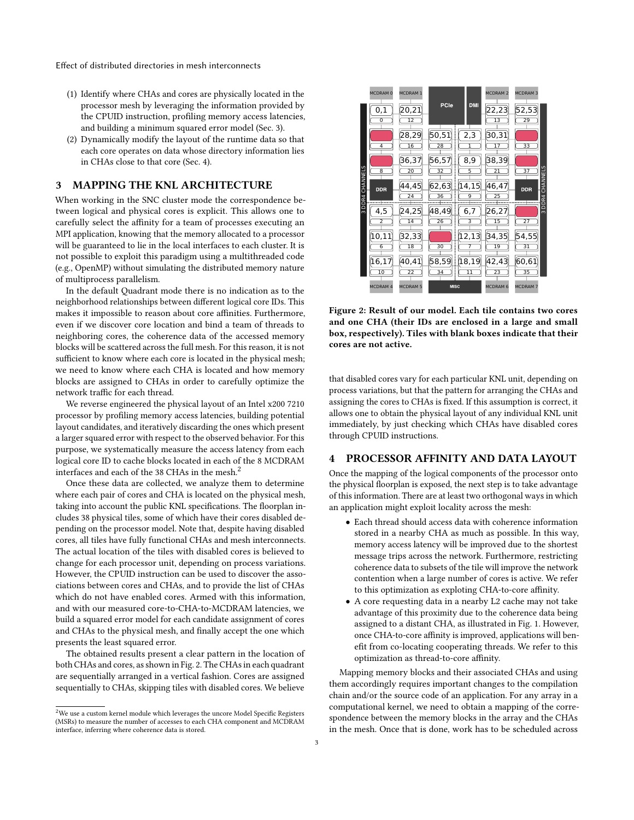- (1) Identify where CHAs and cores are physically located in the processor mesh by leveraging the information provided by the CPUID instruction, profiling memory access latencies, and building a minimum squared error model (Sec. [3\)](#page-2-0).
- (2) Dynamically modify the layout of the runtime data so that each core operates on data whose directory information lies in CHAs close to that core (Sec. [4\)](#page-2-1).

# <span id="page-2-0"></span>3 MAPPING THE KNL ARCHITECTURE

When working in the SNC cluster mode the correspondence between logical and physical cores is explicit. This allows one to carefully select the affinity for a team of processes executing an MPI application, knowing that the memory allocated to a processor will be guaranteed to lie in the local interfaces to each cluster. It is not possible to exploit this paradigm using a multithreaded code (e.g., OpenMP) without simulating the distributed memory nature of multiprocess parallelism.

In the default Quadrant mode there is no indication as to the neighborhood relationships between different logical core IDs. This makes it impossible to reason about core affinities. Furthermore, even if we discover core location and bind a team of threads to neighboring cores, the coherence data of the accessed memory blocks will be scattered across the full mesh. For this reason, it is not sufficient to know where each core is located in the physical mesh; we need to know where each CHA is located and how memory blocks are assigned to CHAs in order to carefully optimize the network traffic for each thread.

We reverse engineered the physical layout of an Intel x200 7210 processor by profiling memory access latencies, building potential layout candidates, and iteratively discarding the ones which present a larger squared error with respect to the observed behavior. For this purpose, we systematically measure the access latency from each logical core ID to cache blocks located in each of the 8 MCDRAM interfaces and each of the 38 CHAs in the mesh.[2](#page-2-2)

Once these data are collected, we analyze them to determine where each pair of cores and CHA is located on the physical mesh, taking into account the public KNL specifications. The floorplan includes 38 physical tiles, some of which have their cores disabled depending on the processor model. Note that, despite having disabled cores, all tiles have fully functional CHAs and mesh interconnects. The actual location of the tiles with disabled cores is believed to change for each processor unit, depending on process variations. However, the CPUID instruction can be used to discover the associations between cores and CHAs, and to provide the list of CHAs which do not have enabled cores. Armed with this information, and with our measured core-to-CHA-to-MCDRAM latencies, we build a squared error model for each candidate assignment of cores and CHAs to the physical mesh, and finally accept the one which presents the least squared error.

The obtained results present a clear pattern in the location of both CHAs and cores, as shown in Fig. [2.](#page-2-3) The CHAs in each quadrant are sequentially arranged in a vertical fashion. Cores are assigned sequentially to CHAs, skipping tiles with disabled cores. We believe

<span id="page-2-3"></span>

Figure 2: Result of our model. Each tile contains two cores and one CHA (their IDs are enclosed in a large and small box, respectively). Tiles with blank boxes indicate that their cores are not active.

that disabled cores vary for each particular KNL unit, depending on process variations, but that the pattern for arranging the CHAs and assigning the cores to CHAs is fixed. If this assumption is correct, it allows one to obtain the physical layout of any individual KNL unit immediately, by just checking which CHAs have disabled cores through CPUID instructions.

## <span id="page-2-1"></span>4 PROCESSOR AFFINITY AND DATA LAYOUT

Once the mapping of the logical components of the processor onto the physical floorplan is exposed, the next step is to take advantage of this information. There are at least two orthogonal ways in which an application might exploit locality across the mesh:

- Each thread should access data with coherence information stored in a nearby CHA as much as possible. In this way, memory access latency will be improved due to the shortest message trips across the network. Furthermore, restricting coherence data to subsets of the tile will improve the network contention when a large number of cores is active. We refer to this optimization as exploting CHA-to-core affinity.
- A core requesting data in a nearby L2 cache may not take advantage of this proximity due to the coherence data being assigned to a distant CHA, as illustrated in Fig. [1.](#page-1-0) However, once CHA-to-core affinity is improved, applications will benefit from co-locating cooperating threads. We refer to this optimization as thread-to-core affinity.

Mapping memory blocks and their associated CHAs and using them accordingly requires important changes to the compilation chain and/or the source code of an application. For any array in a computational kernel, we need to obtain a mapping of the correspondence between the memory blocks in the array and the CHAs in the mesh. Once that is done, work has to be scheduled across

<span id="page-2-2"></span> $^2\rm{We}$  use a custom kernel module which leverages the uncore Model Specific Registers (MSRs) to measure the number of accesses to each CHA component and MCDRAM interface, inferring where coherence data is stored.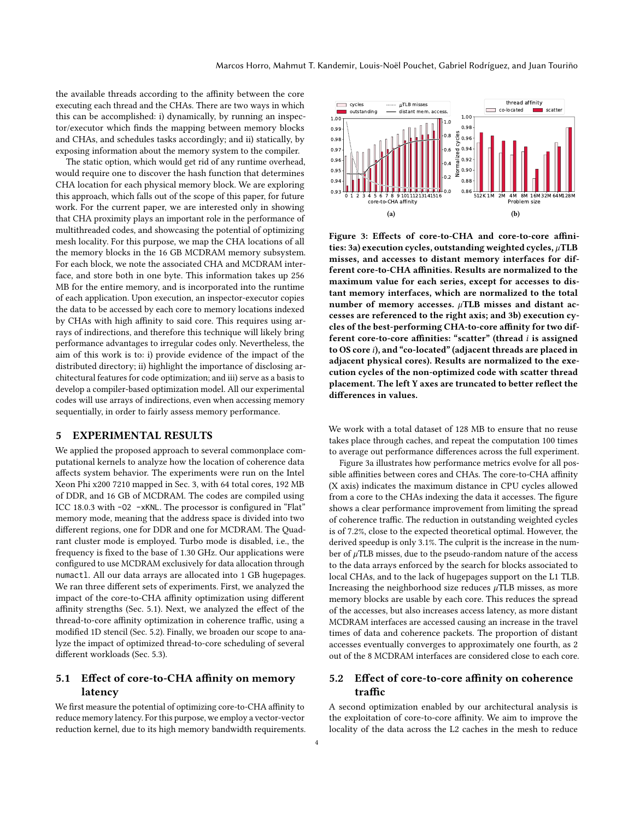the available threads according to the affinity between the core executing each thread and the CHAs. There are two ways in which this can be accomplished: i) dynamically, by running an inspector/executor which finds the mapping between memory blocks and CHAs, and schedules tasks accordingly; and ii) statically, by exposing information about the memory system to the compiler.

The static option, which would get rid of any runtime overhead, would require one to discover the hash function that determines CHA location for each physical memory block. We are exploring this approach, which falls out of the scope of this paper, for future work. For the current paper, we are interested only in showing that CHA proximity plays an important role in the performance of multithreaded codes, and showcasing the potential of optimizing mesh locality. For this purpose, we map the CHA locations of all the memory blocks in the 16 GB MCDRAM memory subsystem. For each block, we note the associated CHA and MCDRAM interface, and store both in one byte. This information takes up 256 MB for the entire memory, and is incorporated into the runtime of each application. Upon execution, an inspector-executor copies the data to be accessed by each core to memory locations indexed by CHAs with high affinity to said core. This requires using arrays of indirections, and therefore this technique will likely bring performance advantages to irregular codes only. Nevertheless, the aim of this work is to: i) provide evidence of the impact of the distributed directory; ii) highlight the importance of disclosing architectural features for code optimization; and iii) serve as a basis to develop a compiler-based optimization model. All our experimental codes will use arrays of indirections, even when accessing memory sequentially, in order to fairly assess memory performance.

# <span id="page-3-0"></span>5 EXPERIMENTAL RESULTS

We applied the proposed approach to several commonplace computational kernels to analyze how the location of coherence data affects system behavior. The experiments were run on the Intel Xeon Phi x200 7210 mapped in Sec. [3,](#page-2-0) with 64 total cores, 192 MB of DDR, and 16 GB of MCDRAM. The codes are compiled using ICC 18.0.3 with -O2 -xKNL. The processor is configured in "Flat" memory mode, meaning that the address space is divided into two different regions, one for DDR and one for MCDRAM. The Quadrant cluster mode is employed. Turbo mode is disabled, i.e., the frequency is fixed to the base of 1.30 GHz. Our applications were configured to use MCDRAM exclusively for data allocation through numactl. All our data arrays are allocated into 1 GB hugepages. We ran three different sets of experiments. First, we analyzed the impact of the core-to-CHA affinity optimization using different affinity strengths (Sec. [5.1\)](#page-3-1). Next, we analyzed the effect of the thread-to-core affinity optimization in coherence traffic, using a modified 1D stencil (Sec. [5.2\)](#page-3-2). Finally, we broaden our scope to analyze the impact of optimized thread-to-core scheduling of several different workloads (Sec. [5.3\)](#page-4-0).

# <span id="page-3-1"></span>5.1 Effect of core-to-CHA affinity on memory latency

We first measure the potential of optimizing core-to-CHA affinity to reduce memory latency. For this purpose, we employ a vector-vector reduction kernel, due to its high memory bandwidth requirements.

<span id="page-3-3"></span>

<span id="page-3-4"></span>Figure 3: Effects of core-to-CHA and core-to-core affini-ties: [3a\)](#page-3-3) execution cycles, outstanding weighted cycles,  $\mu$ TLB misses, and accesses to distant memory interfaces for different core-to-CHA affinities. Results are normalized to the maximum value for each series, except for accesses to distant memory interfaces, which are normalized to the total number of memory accesses.  $\mu$ TLB misses and distant accesses are referenced to the right axis; and [3b\)](#page-3-4) execution cycles of the best-performing CHA-to-core affinity for two different core-to-core affinities: "scatter" (thread i is assigned to OS core i), and "co-located" (adjacent threads are placed in adjacent physical cores). Results are normalized to the execution cycles of the non-optimized code with scatter thread placement. The left Y axes are truncated to better reflect the differences in values.

We work with a total dataset of 128 MB to ensure that no reuse takes place through caches, and repeat the computation 100 times to average out performance differences across the full experiment.

Figure [3a](#page-3-3) illustrates how performance metrics evolve for all possible affinities between cores and CHAs. The core-to-CHA affinity (X axis) indicates the maximum distance in CPU cycles allowed from a core to the CHAs indexing the data it accesses. The figure shows a clear performance improvement from limiting the spread of coherence traffic. The reduction in outstanding weighted cycles is of 7.2%, close to the expected theoretical optimal. However, the derived speedup is only 3.1%. The culprit is the increase in the number of  $\mu$ TLB misses, due to the pseudo-random nature of the access to the data arrays enforced by the search for blocks associated to local CHAs, and to the lack of hugepages support on the L1 TLB. Increasing the neighborhood size reduces  $\mu$ TLB misses, as more memory blocks are usable by each core. This reduces the spread of the accesses, but also increases access latency, as more distant MCDRAM interfaces are accessed causing an increase in the travel times of data and coherence packets. The proportion of distant accesses eventually converges to approximately one fourth, as 2 out of the 8 MCDRAM interfaces are considered close to each core.

# <span id="page-3-2"></span>5.2 Effect of core-to-core affinity on coherence traffic

A second optimization enabled by our architectural analysis is the exploitation of core-to-core affinity. We aim to improve the locality of the data across the L2 caches in the mesh to reduce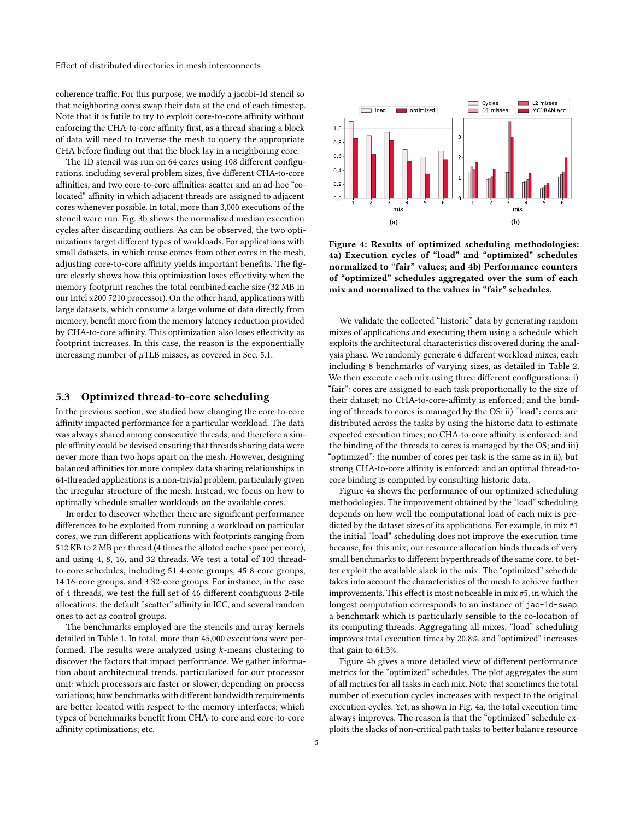coherence traffic. For this purpose, we modify a jacobi-1d stencil so that neighboring cores swap their data at the end of each timestep. Note that it is futile to try to exploit core-to-core affinity without enforcing the CHA-to-core affinity first, as a thread sharing a block of data will need to traverse the mesh to query the appropriate CHA before finding out that the block lay in a neighboring core.

The 1D stencil was run on 64 cores using 108 different configurations, including several problem sizes, five different CHA-to-core affinities, and two core-to-core affinities: scatter and an ad-hoc "colocated" affinity in which adjacent threads are assigned to adjacent cores whenever possible. In total, more than 3,000 executions of the stencil were run. Fig. [3b](#page-3-4) shows the normalized median execution cycles after discarding outliers. As can be observed, the two optimizations target different types of workloads. For applications with small datasets, in which reuse comes from other cores in the mesh, adjusting core-to-core affinity yields important benefits. The figure clearly shows how this optimization loses effectivity when the memory footprint reaches the total combined cache size (32 MB in our Intel x200 7210 processor). On the other hand, applications with large datasets, which consume a large volume of data directly from memory, benefit more from the memory latency reduction provided by CHA-to-core affinity. This optimization also loses effectivity as footprint increases. In this case, the reason is the exponentially increasing number of  $\mu$ TLB misses, as covered in Sec. [5.1.](#page-3-1)

### <span id="page-4-0"></span>5.3 Optimized thread-to-core scheduling

In the previous section, we studied how changing the core-to-core affinity impacted performance for a particular workload. The data was always shared among consecutive threads, and therefore a simple affinity could be devised ensuring that threads sharing data were never more than two hops apart on the mesh. However, designing balanced affinities for more complex data sharing relationships in 64-threaded applications is a non-trivial problem, particularly given the irregular structure of the mesh. Instead, we focus on how to optimally schedule smaller workloads on the available cores.

In order to discover whether there are significant performance differences to be exploited from running a workload on particular cores, we run different applications with footprints ranging from 512 KB to 2 MB per thread (4 times the alloted cache space per core), and using 4, 8, 16, and 32 threads. We test a total of 103 threadto-core schedules, including 51 4-core groups, 45 8-core groups, 14 16-core groups, and 3 32-core groups. For instance, in the case of 4 threads, we test the full set of 46 different contiguous 2-tile allocations, the default "scatter" affinity in ICC, and several random ones to act as control groups.

The benchmarks employed are the stencils and array kernels detailed in Table [1.](#page-5-2) In total, more than 45,000 executions were performed. The results were analyzed using k-means clustering to discover the factors that impact performance. We gather information about architectural trends, particularized for our processor unit: which processors are faster or slower, depending on process variations; how benchmarks with different bandwidth requirements are better located with respect to the memory interfaces; which types of benchmarks benefit from CHA-to-core and core-to-core affinity optimizations; etc.

<span id="page-4-1"></span>

<span id="page-4-2"></span>Figure 4: Results of optimized scheduling methodologies: [4a\)](#page-4-1) Execution cycles of "load" and "optimized" schedules normalized to "fair" values; and [4b\)](#page-4-2) Performance counters of "optimized" schedules aggregated over the sum of each mix and normalized to the values in "fair" schedules.

We validate the collected "historic" data by generating random mixes of applications and executing them using a schedule which exploits the architectural characteristics discovered during the analysis phase. We randomly generate 6 different workload mixes, each including 8 benchmarks of varying sizes, as detailed in Table [2.](#page-5-3) We then execute each mix using three different configurations: i) "fair": cores are assigned to each task proportionally to the size of their dataset; no CHA-to-core-affinity is enforced; and the binding of threads to cores is managed by the OS; ii) "load": cores are distributed across the tasks by using the historic data to estimate expected execution times; no CHA-to-core affinity is enforced; and the binding of the threads to cores is managed by the OS; and iii) "optimized": the number of cores per task is the same as in ii), but strong CHA-to-core affinity is enforced; and an optimal thread-tocore binding is computed by consulting historic data.

Figure [4a](#page-4-1) shows the performance of our optimized scheduling methodologies. The improvement obtained by the "load" scheduling depends on how well the computational load of each mix is predicted by the dataset sizes of its applications. For example, in mix #1 the initial "load" scheduling does not improve the execution time because, for this mix, our resource allocation binds threads of very small benchmarks to different hyperthreads of the same core, to better exploit the available slack in the mix. The "optimized" schedule takes into account the characteristics of the mesh to achieve further improvements. This effect is most noticeable in mix #5, in which the longest computation corresponds to an instance of jac-1d-swap, a benchmark which is particularly sensible to the co-location of its computing threads. Aggregating all mixes, "load" scheduling improves total execution times by 20.8%, and "optimized" increases that gain to 61.3%.

Figure [4b](#page-4-2) gives a more detailed view of different performance metrics for the "optimized" schedules. The plot aggregates the sum of all metrics for all tasks in each mix. Note that sometimes the total number of execution cycles increases with respect to the original execution cycles. Yet, as shown in Fig. [4a,](#page-4-1) the total execution time always improves. The reason is that the "optimized" schedule exploits the slacks of non-critical path tasks to better balance resource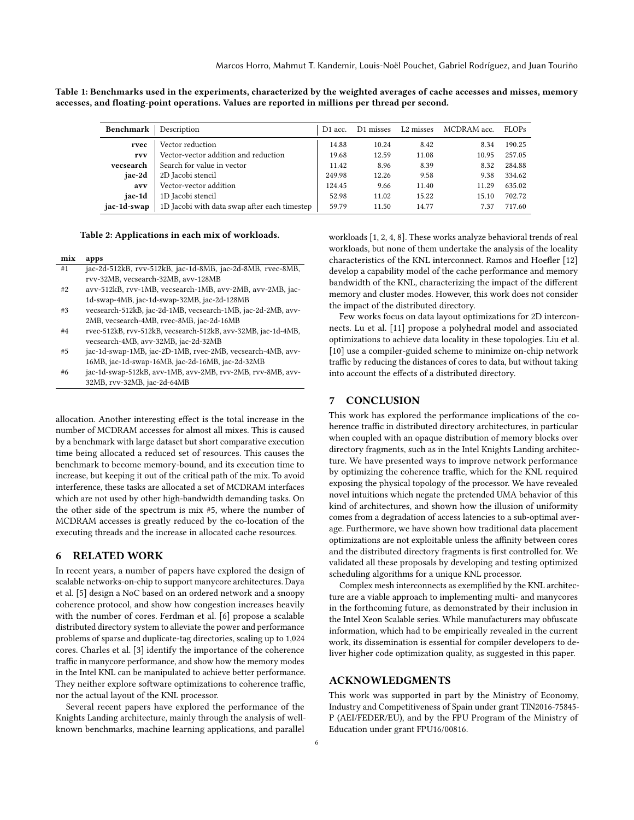<span id="page-5-2"></span>

| Table 1: Benchmarks used in the experiments, characterized by the weighted averages of cache accesses and misses, memory |  |  |
|--------------------------------------------------------------------------------------------------------------------------|--|--|
| accesses, and floating-point operations. Values are reported in millions per thread per second.                          |  |  |

| Benchmark   | Description                                  | D <sub>1</sub> acc. | D1 misses | L <sub>2</sub> misses | MCDRAM acc. | <b>FLOPs</b> |
|-------------|----------------------------------------------|---------------------|-----------|-----------------------|-------------|--------------|
| rvec        | Vector reduction                             | 14.88               | 10.24     | 8.42                  | 8.34        | 190.25       |
| rvv         | Vector-vector addition and reduction         | 19.68               | 12.59     | 11.08                 | 10.95       | 257.05       |
| vecsearch   | Search for value in vector                   | 11.42               | 8.96      | 8.39                  | 8.32        | 284.88       |
| iac-2d      | 2D Jacobi stencil                            | 249.98              | 12.26     | 9.58                  | 9.38        | 334.62       |
| avv         | Vector-vector addition                       | 124.45              | 9.66      | 11.40                 | 11 29       | 635.02       |
| jac-1d      | 1D Jacobi stencil                            | 52.98               | 11.02     | 15.22                 | 15.10       | 702.72       |
| jac-1d-swap | 1D Jacobi with data swap after each timestep | 59.79               | 11.50     | 14.77                 | 7.37        | 717.60       |

#### <span id="page-5-3"></span>Table 2: Applications in each mix of workloads.

mix apps

- #1 jac-2d-512kB, rvv-512kB, jac-1d-8MB, jac-2d-8MB, rvec-8MB, rvv-32MB, vecsearch-32MB, avv-128MB
- #2 avv-512kB, rvv-1MB, vecsearch-1MB, avv-2MB, avv-2MB, jac-1d-swap-4MB, jac-1d-swap-32MB, jac-2d-128MB
- #3 vecsearch-512kB, jac-2d-1MB, vecsearch-1MB, jac-2d-2MB, avv-2MB, vecsearch-4MB, rvec-8MB, jac-2d-16MB
- #4 rvec-512kB, rvv-512kB, vecsearch-512kB, avv-32MB, jac-1d-4MB, vecsearch-4MB, avv-32MB, jac-2d-32MB
- #5 jac-1d-swap-1MB, jac-2D-1MB, rvec-2MB, vecsearch-4MB, avv-16MB, jac-1d-swap-16MB, jac-2d-16MB, jac-2d-32MB
- #6 jac-1d-swap-512kB, avv-1MB, avv-2MB, rvv-2MB, rvv-8MB, avv-32MB, rvv-32MB, jac-2d-64MB

allocation. Another interesting effect is the total increase in the number of MCDRAM accesses for almost all mixes. This is caused by a benchmark with large dataset but short comparative execution time being allocated a reduced set of resources. This causes the benchmark to become memory-bound, and its execution time to increase, but keeping it out of the critical path of the mix. To avoid interference, these tasks are allocated a set of MCDRAM interfaces which are not used by other high-bandwidth demanding tasks. On the other side of the spectrum is mix #5, where the number of MCDRAM accesses is greatly reduced by the co-location of the executing threads and the increase in allocated cache resources.

## <span id="page-5-0"></span>6 RELATED WORK

In recent years, a number of papers have explored the design of scalable networks-on-chip to support manycore architectures. Daya et al. [\[5\]](#page-6-7) design a NoC based on an ordered network and a snoopy coherence protocol, and show how congestion increases heavily with the number of cores. Ferdman et al. [\[6\]](#page-6-0) propose a scalable distributed directory system to alleviate the power and performance problems of sparse and duplicate-tag directories, scaling up to 1,024 cores. Charles et al. [\[3\]](#page-6-3) identify the importance of the coherence traffic in manycore performance, and show how the memory modes in the Intel KNL can be manipulated to achieve better performance. They neither explore software optimizations to coherence traffic, nor the actual layout of the KNL processor.

Several recent papers have explored the performance of the Knights Landing architecture, mainly through the analysis of wellknown benchmarks, machine learning applications, and parallel

workloads [\[1,](#page-6-12) [2,](#page-6-13) [4,](#page-6-14) [8\]](#page-6-15). These works analyze behavioral trends of real workloads, but none of them undertake the analysis of the locality characteristics of the KNL interconnect. Ramos and Hoefler [\[12\]](#page-6-11) develop a capability model of the cache performance and memory bandwidth of the KNL, characterizing the impact of the different memory and cluster modes. However, this work does not consider the impact of the distributed directory.

Few works focus on data layout optimizations for 2D interconnects. Lu et al. [\[11\]](#page-6-16) propose a polyhedral model and associated optimizations to achieve data locality in these topologies. Liu et al. [\[10\]](#page-6-4) use a compiler-guided scheme to minimize on-chip network traffic by reducing the distances of cores to data, but without taking into account the effects of a distributed directory.

# <span id="page-5-1"></span>7 CONCLUSION

This work has explored the performance implications of the coherence traffic in distributed directory architectures, in particular when coupled with an opaque distribution of memory blocks over directory fragments, such as in the Intel Knights Landing architecture. We have presented ways to improve network performance by optimizing the coherence traffic, which for the KNL required exposing the physical topology of the processor. We have revealed novel intuitions which negate the pretended UMA behavior of this kind of architectures, and shown how the illusion of uniformity comes from a degradation of access latencies to a sub-optimal average. Furthermore, we have shown how traditional data placement optimizations are not exploitable unless the affinity between cores and the distributed directory fragments is first controlled for. We validated all these proposals by developing and testing optimized scheduling algorithms for a unique KNL processor.

Complex mesh interconnects as exemplified by the KNL architecture are a viable approach to implementing multi- and manycores in the forthcoming future, as demonstrated by their inclusion in the Intel Xeon Scalable series. While manufacturers may obfuscate information, which had to be empirically revealed in the current work, its dissemination is essential for compiler developers to deliver higher code optimization quality, as suggested in this paper.

# ACKNOWLEDGMENTS

This work was supported in part by the Ministry of Economy, Industry and Competitiveness of Spain under grant TIN2016-75845- P (AEI/FEDER/EU), and by the FPU Program of the Ministry of Education under grant FPU16/00816.